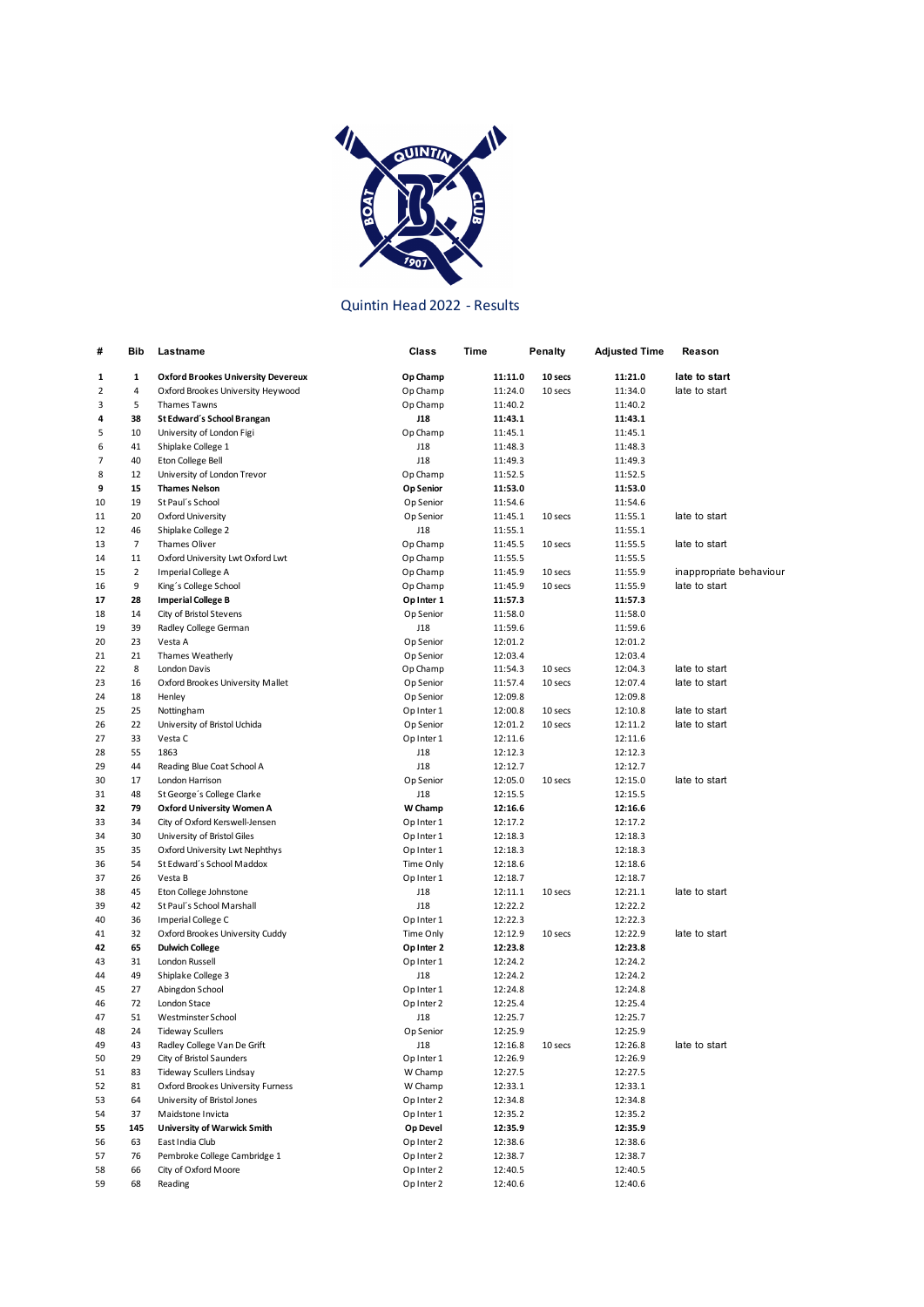

## Quintin Head 2022 - Results

| #              | Bib            | Lastname                                  | Class      | Time    | Penalty | Adjusted Time | Reason                  |
|----------------|----------------|-------------------------------------------|------------|---------|---------|---------------|-------------------------|
| 1              | 1              | <b>Oxford Brookes University Devereux</b> | Op Champ   | 11:11.0 | 10 secs | 11:21.0       | late to start           |
| $\overline{2}$ | 4              | Oxford Brookes University Heywood         | Op Champ   | 11:24.0 | 10 secs | 11:34.0       | late to start           |
| 3              | 5              | <b>Thames Tawns</b>                       | Op Champ   | 11:40.2 |         | 11:40.2       |                         |
| 4              | 38             | St Edward's School Brangan                | <b>J18</b> | 11:43.1 |         | 11:43.1       |                         |
| 5              | 10             | University of London Figi                 | Op Champ   | 11:45.1 |         | 11:45.1       |                         |
| 6              | 41             | Shiplake College 1                        | J18        | 11:48.3 |         | 11:48.3       |                         |
| 7              | 40             | Eton College Bell                         | J18        | 11:49.3 |         | 11:49.3       |                         |
| 8              | 12             | University of London Trevor               | Op Champ   | 11:52.5 |         | 11:52.5       |                         |
| 9              | 15             | <b>Thames Nelson</b>                      | Op Senior  | 11:53.0 |         | 11:53.0       |                         |
| 10             | 19             | St Paul's School                          | Op Senior  | 11:54.6 |         | 11:54.6       |                         |
| 11             | 20             | Oxford University                         | Op Senior  | 11:45.1 | 10 secs | 11:55.1       | late to start           |
| 12             | 46             | Shiplake College 2                        | J18        | 11:55.1 |         | 11:55.1       |                         |
| 13             | $\overline{7}$ | Thames Oliver                             | Op Champ   | 11:45.5 | 10 secs | 11:55.5       | late to start           |
| 14             | 11             | Oxford University Lwt Oxford Lwt          | Op Champ   | 11:55.5 |         | 11:55.5       |                         |
| 15             | $\overline{2}$ | Imperial College A                        | Op Champ   | 11:45.9 | 10 secs | 11:55.9       | inappropriate behaviour |
| 16             | 9              | King's College School                     | Op Champ   | 11:45.9 | 10 secs | 11:55.9       | late to start           |
| 17             | 28             | <b>Imperial College B</b>                 | Op Inter 1 | 11:57.3 |         | 11:57.3       |                         |
| 18             | 14             | City of Bristol Stevens                   | Op Senior  | 11:58.0 |         | 11:58.0       |                         |
| 19             | 39             | Radley College German                     | J18        | 11:59.6 |         | 11:59.6       |                         |
| 20             | 23             | Vesta A                                   | Op Senior  | 12:01.2 |         | 12:01.2       |                         |
| 21             | 21             | Thames Weatherly                          | Op Senior  | 12:03.4 |         | 12:03.4       |                         |
| 22             | 8              | London Davis                              | Op Champ   | 11:54.3 | 10 secs | 12:04.3       | late to start           |
| 23             | 16             | Oxford Brookes University Mallet          | Op Senior  | 11:57.4 | 10 secs | 12:07.4       | late to start           |
| 24             | 18             | Henley                                    | Op Senior  | 12:09.8 |         | 12:09.8       |                         |
| 25             | 25             | Nottingham                                | Op Inter 1 | 12:00.8 | 10 secs | 12:10.8       | late to start           |
| 26             | 22             | University of Bristol Uchida              | Op Senior  | 12:01.2 | 10 secs | 12:11.2       | late to start           |
| 27             | 33             | Vesta C                                   | Op Inter 1 | 12:11.6 |         | 12:11.6       |                         |
| 28             | 55             | 1863                                      | J18        | 12:12.3 |         | 12:12.3       |                         |
| 29             | 44             | Reading Blue Coat School A                | J18        | 12:12.7 |         | 12:12.7       |                         |
| 30             | 17             | London Harrison                           | Op Senior  | 12:05.0 | 10 secs | 12:15.0       | late to start           |
| 31             | 48             | St George's College Clarke                | J18        | 12:15.5 |         | 12:15.5       |                         |
| 32             | 79             | Oxford University Women A                 | W Champ    | 12:16.6 |         | 12:16.6       |                         |
| 33             | 34             | City of Oxford Kerswell-Jensen            | Op Inter 1 | 12:17.2 |         | 12:17.2       |                         |
| 34             | 30             | University of Bristol Giles               | Op Inter 1 | 12:18.3 |         | 12:18.3       |                         |
| 35             | 35             | Oxford University Lwt Nephthys            | Op Inter 1 | 12:18.3 |         | 12:18.3       |                         |
| 36             | 54             | St Edward's School Maddox                 | Time Only  | 12:18.6 |         | 12:18.6       |                         |
| 37             | 26             | Vesta B                                   | Op Inter 1 | 12:18.7 |         | 12:18.7       |                         |
| 38             | 45             | Eton College Johnstone                    | J18        | 12:11.1 | 10 secs | 12:21.1       | late to start           |
| 39             | 42             | St Paul's School Marshall                 | J18        | 12:22.2 |         | 12:22.2       |                         |
| 40             | 36             | Imperial College C                        | Op Inter 1 | 12:22.3 |         | 12:22.3       |                         |
| 41             | 32             | Oxford Brookes University Cuddy           | Time Only  | 12:12.9 | 10 secs | 12:22.9       | late to start           |
| 42             | 65             | <b>Dulwich College</b>                    | Op Inter 2 | 12:23.8 |         | 12:23.8       |                         |
| 43             | 31             | London Russell                            | Op Inter 1 | 12:24.2 |         | 12:24.2       |                         |
| 44             | 49             | Shiplake College 3                        | J18        | 12:24.2 |         | 12:24.2       |                         |
| 45             | 27             | Abingdon School                           | Op Inter 1 | 12:24.8 |         | 12:24.8       |                         |
| 46             | 72             | London Stace                              | Op Inter 2 | 12:25.4 |         | 12:25.4       |                         |
| 47             | 51             | Westminster School                        | J18        | 12:25.7 |         | 12:25.7       |                         |
| 48             | 24             | <b>Tideway Scullers</b>                   | Op Senior  | 12:25.9 |         | 12:25.9       |                         |
| 49             | 43             | Radley College Van De Grift               | J18        | 12:16.8 | 10 secs | 12:26.8       | late to start           |
| 50             | 29             | City of Bristol Saunders                  | Op Inter 1 | 12:26.9 |         | 12:26.9       |                         |
| 51             | 83             | <b>Tideway Scullers Lindsay</b>           | W Champ    | 12:27.5 |         | 12:27.5       |                         |
| 52             | 81             | Oxford Brookes University Furness         | W Champ    | 12:33.1 |         | 12:33.1       |                         |
| 53             | 64             | University of Bristol Jones               | Op Inter 2 | 12:34.8 |         | 12:34.8       |                         |
| 54             | 37             | Maidstone Invicta                         | Op Inter 1 | 12:35.2 |         | 12:35.2       |                         |
| 55             | 145            | University of Warwick Smith               | Op Devel   | 12:35.9 |         | 12:35.9       |                         |
| 56             | 63             | East India Club                           | Op Inter 2 | 12:38.6 |         | 12:38.6       |                         |
| 57             | 76             | Pembroke College Cambridge 1              | Op Inter 2 | 12:38.7 |         | 12:38.7       |                         |
| 58             | 66             | City of Oxford Moore                      | Op Inter 2 | 12:40.5 |         | 12:40.5       |                         |
| 59             | 68             | Reading                                   | Op Inter 2 | 12:40.6 |         | 12:40.6       |                         |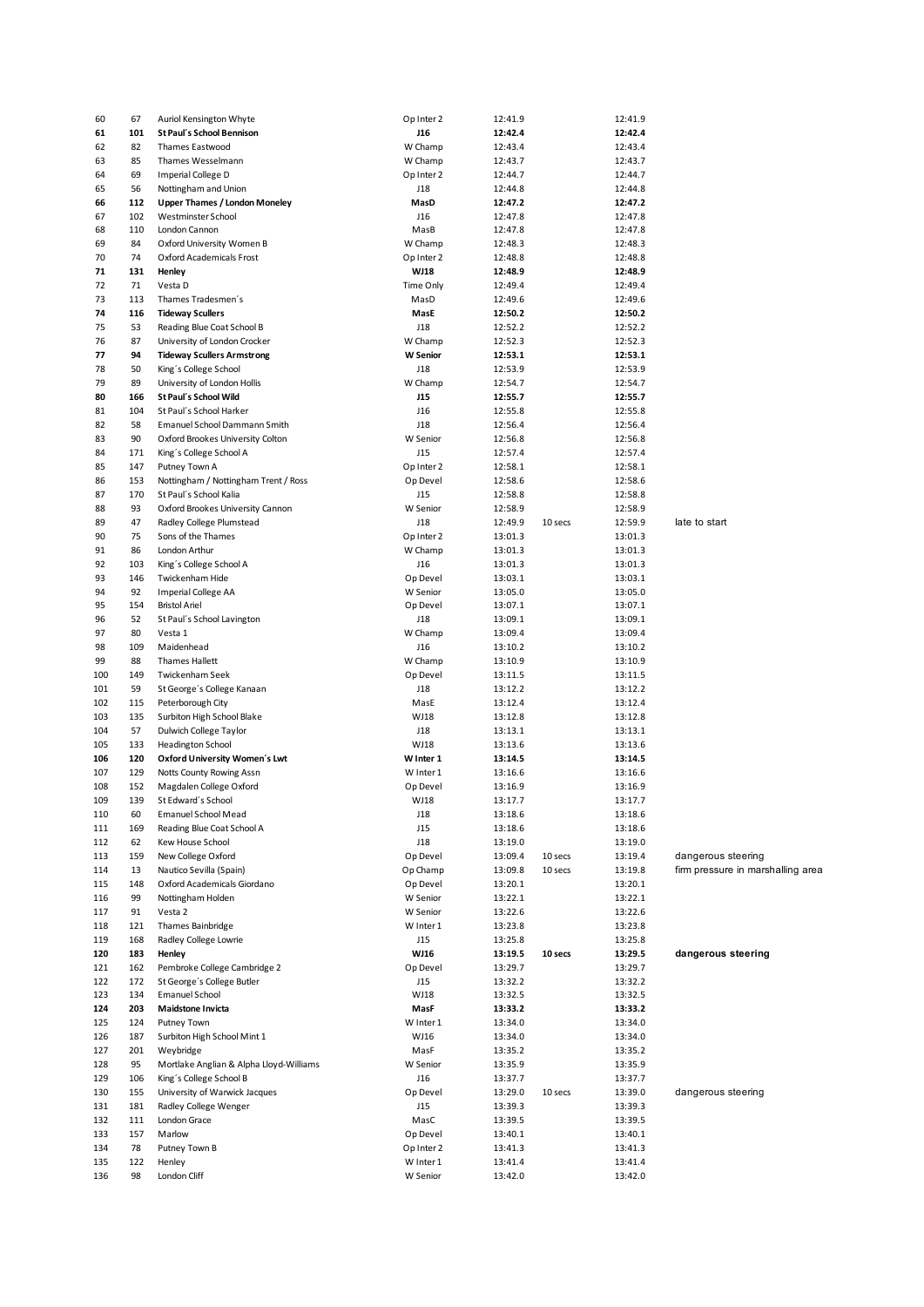| 60  | 67  | Auriol Kensington Whyte                 | Op Inter 2      | 12:41.9 |         | 12:41.9 |                                   |
|-----|-----|-----------------------------------------|-----------------|---------|---------|---------|-----------------------------------|
| 61  | 101 | St Paul's School Bennison               | <b>J16</b>      | 12:42.4 |         | 12:42.4 |                                   |
| 62  | 82  | Thames Eastwood                         | W Champ         | 12:43.4 |         | 12:43.4 |                                   |
| 63  | 85  | Thames Wesselmann                       | W Champ         | 12:43.7 |         | 12:43.7 |                                   |
|     | 69  | Imperial College D                      | Op Inter 2      | 12:44.7 |         | 12:44.7 |                                   |
| 64  |     |                                         |                 |         |         |         |                                   |
| 65  | 56  | Nottingham and Union                    | J18             | 12:44.8 |         | 12:44.8 |                                   |
| 66  | 112 | <b>Upper Thames / London Moneley</b>    | MasD            | 12:47.2 |         | 12:47.2 |                                   |
| 67  | 102 | Westminster School                      | J16             | 12:47.8 |         | 12:47.8 |                                   |
| 68  | 110 | London Cannon                           | MasB            | 12:47.8 |         | 12:47.8 |                                   |
| 69  | 84  | Oxford University Women B               | W Champ         | 12:48.3 |         | 12:48.3 |                                   |
| 70  | 74  | Oxford Academicals Frost                | Op Inter 2      | 12:48.8 |         | 12:48.8 |                                   |
| 71  | 131 | Henley                                  | WJ18            | 12:48.9 |         | 12:48.9 |                                   |
| 72  | 71  | Vesta D                                 | Time Only       | 12:49.4 |         | 12:49.4 |                                   |
|     |     |                                         |                 |         |         |         |                                   |
| 73  | 113 | Thames Tradesmen's                      | MasD            | 12:49.6 |         | 12:49.6 |                                   |
| 74  | 116 | <b>Tideway Scullers</b>                 | MasE            | 12:50.2 |         | 12:50.2 |                                   |
| 75  | 53  | Reading Blue Coat School B              | J18             | 12:52.2 |         | 12:52.2 |                                   |
| 76  | 87  | University of London Crocker            | W Champ         | 12:52.3 |         | 12:52.3 |                                   |
| 77  | 94  | <b>Tideway Scullers Armstrong</b>       | <b>W</b> Senior | 12:53.1 |         | 12:53.1 |                                   |
| 78  | 50  | King's College School                   | J18             | 12:53.9 |         | 12:53.9 |                                   |
| 79  | 89  | University of London Hollis             | W Champ         | 12:54.7 |         | 12:54.7 |                                   |
| 80  | 166 | St Paul's School Wild                   | <b>J15</b>      | 12:55.7 |         | 12:55.7 |                                   |
|     |     |                                         |                 |         |         |         |                                   |
| 81  | 104 | St Paul's School Harker                 | J16             | 12:55.8 |         | 12:55.8 |                                   |
| 82  | 58  | <b>Emanuel School Dammann Smith</b>     | J18             | 12:56.4 |         | 12:56.4 |                                   |
| 83  | 90  | Oxford Brookes University Colton        | W Senior        | 12:56.8 |         | 12:56.8 |                                   |
| 84  | 171 | King's College School A                 | J15             | 12:57.4 |         | 12:57.4 |                                   |
| 85  | 147 | Putney Town A                           | Op Inter 2      | 12:58.1 |         | 12:58.1 |                                   |
| 86  | 153 | Nottingham / Nottingham Trent / Ross    | Op Devel        | 12:58.6 |         | 12:58.6 |                                   |
| 87  | 170 | St Paul's School Kalia                  | J15             | 12:58.8 |         | 12:58.8 |                                   |
| 88  | 93  | Oxford Brookes University Cannon        | W Senior        | 12:58.9 |         | 12:58.9 |                                   |
| 89  |     |                                         |                 |         |         |         |                                   |
|     | 47  | Radley College Plumstead                | J18             | 12:49.9 | 10 secs | 12:59.9 | late to start                     |
| 90  | 75  | Sons of the Thames                      | Op Inter 2      | 13:01.3 |         | 13:01.3 |                                   |
| 91  | 86  | London Arthur                           | W Champ         | 13:01.3 |         | 13:01.3 |                                   |
| 92  | 103 | King's College School A                 | J16             | 13:01.3 |         | 13:01.3 |                                   |
| 93  | 146 | Twickenham Hide                         | Op Devel        | 13:03.1 |         | 13:03.1 |                                   |
| 94  | 92  | Imperial College AA                     | W Senior        | 13:05.0 |         | 13:05.0 |                                   |
| 95  | 154 | <b>Bristol Ariel</b>                    | Op Devel        | 13:07.1 |         | 13:07.1 |                                   |
| 96  | 52  | St Paul's School Lavington              | J18             | 13:09.1 |         | 13:09.1 |                                   |
| 97  | 80  |                                         |                 |         |         |         |                                   |
|     |     | Vesta 1                                 | W Champ         | 13:09.4 |         | 13:09.4 |                                   |
| 98  | 109 | Maidenhead                              | J16             | 13:10.2 |         | 13:10.2 |                                   |
| 99  | 88  | <b>Thames Hallett</b>                   | W Champ         | 13:10.9 |         | 13:10.9 |                                   |
| 100 | 149 | Twickenham Seek                         | Op Devel        | 13:11.5 |         | 13:11.5 |                                   |
| 101 | 59  | St George's College Kanaan              | J18             | 13:12.2 |         | 13:12.2 |                                   |
| 102 | 115 | Peterborough City                       | MasE            | 13:12.4 |         | 13:12.4 |                                   |
| 103 | 135 | Surbiton High School Blake              | WJ18            | 13:12.8 |         | 13:12.8 |                                   |
| 104 | 57  | Dulwich College Taylor                  | J18             | 13:13.1 |         | 13:13.1 |                                   |
|     |     |                                         |                 |         |         |         |                                   |
| 105 | 133 | Headington School                       | WJ18            | 13:13.6 |         | 13:13.6 |                                   |
| 106 | 120 | Oxford University Women's Lwt           | W Inter 1       | 13:14.5 |         | 13:14.5 |                                   |
| 107 | 129 | Notts County Rowing Assn                | W Inter 1       | 13:16.6 |         | 13:16.6 |                                   |
| 108 | 152 | Magdalen College Oxford                 | Op Devel        | 13:16.9 |         | 13:16.9 |                                   |
| 109 | 139 | St Edward's School                      | WJ18            | 13:17.7 |         | 13:17.7 |                                   |
| 110 | 60  | Emanuel School Mead                     | J18             | 13:18.6 |         | 13:18.6 |                                   |
| 111 | 169 | Reading Blue Coat School A              | J15             | 13:18.6 |         | 13:18.6 |                                   |
| 112 | 62  | Kew House School                        | J18             | 13:19.0 |         | 13:19.0 |                                   |
|     |     |                                         |                 |         |         |         |                                   |
| 113 | 159 | New College Oxford                      | Op Devel        | 13:09.4 | 10 secs | 13:19.4 | dangerous steering                |
| 114 | 13  | Nautico Sevilla (Spain)                 | Op Champ        | 13:09.8 | 10 secs | 13:19.8 | firm pressure in marshalling area |
| 115 | 148 | Oxford Academicals Giordano             | Op Devel        | 13:20.1 |         | 13:20.1 |                                   |
| 116 | 99  | Nottingham Holden                       | W Senior        | 13:22.1 |         | 13:22.1 |                                   |
| 117 | 91  | Vesta 2                                 | W Senior        | 13:22.6 |         | 13:22.6 |                                   |
| 118 | 121 | Thames Bainbridge                       | W Inter 1       | 13:23.8 |         | 13:23.8 |                                   |
| 119 | 168 | Radley College Lowrie                   | J15             | 13:25.8 |         | 13:25.8 |                                   |
| 120 | 183 | Henley                                  | WJ16            | 13:19.5 | 10 secs | 13:29.5 | dangerous steering                |
| 121 | 162 | Pembroke College Cambridge 2            | Op Devel        | 13:29.7 |         | 13:29.7 |                                   |
|     | 172 | St George's College Butler              |                 |         |         |         |                                   |
| 122 |     |                                         | J15             | 13:32.2 |         | 13:32.2 |                                   |
| 123 | 134 | <b>Emanuel School</b>                   | WJ18            | 13:32.5 |         | 13:32.5 |                                   |
| 124 | 203 | <b>Maidstone Invicta</b>                | MasF            | 13:33.2 |         | 13:33.2 |                                   |
| 125 | 124 | Putney Town                             | W Inter 1       | 13:34.0 |         | 13:34.0 |                                   |
| 126 | 187 | Surbiton High School Mint 1             | WJ16            | 13:34.0 |         | 13:34.0 |                                   |
| 127 | 201 | Weybridge                               | MasF            | 13:35.2 |         | 13:35.2 |                                   |
| 128 | 95  | Mortlake Anglian & Alpha Lloyd-Williams | W Senior        | 13:35.9 |         | 13:35.9 |                                   |
| 129 | 106 | King's College School B                 | J16             | 13:37.7 |         | 13:37.7 |                                   |
| 130 | 155 | University of Warwick Jacques           | Op Devel        | 13:29.0 | 10 secs | 13:39.0 | dangerous steering                |
|     |     |                                         |                 |         |         |         |                                   |
| 131 | 181 | Radley College Wenger                   | J15             | 13:39.3 |         | 13:39.3 |                                   |
| 132 | 111 | London Grace                            | MasC            | 13:39.5 |         | 13:39.5 |                                   |
| 133 | 157 | Marlow                                  | Op Devel        | 13:40.1 |         | 13:40.1 |                                   |
| 134 | 78  | Putney Town B                           | Op Inter 2      | 13:41.3 |         | 13:41.3 |                                   |
| 135 | 122 | Henley                                  | W Inter 1       | 13:41.4 |         | 13:41.4 |                                   |
| 136 | 98  | London Cliff                            | W Senior        | 13:42.0 |         | 13:42.0 |                                   |
|     |     |                                         |                 |         |         |         |                                   |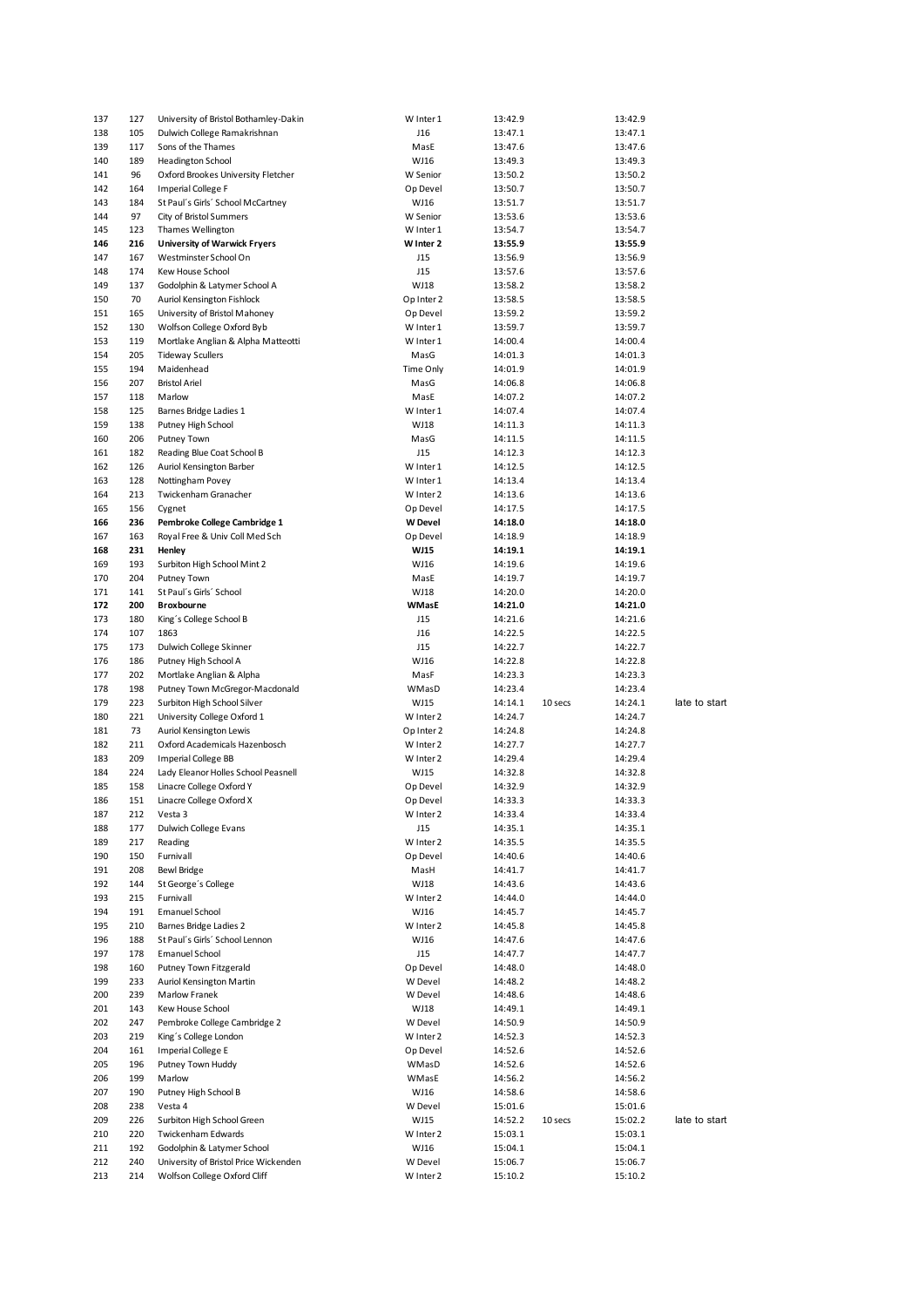| 137        | 127        | University of Bristol Bothamley-Dakin        | W Inter 1             | 13:42.9            |         | 13:42.9            |               |
|------------|------------|----------------------------------------------|-----------------------|--------------------|---------|--------------------|---------------|
| 138        | 105        | Dulwich College Ramakrishnan                 | J16                   | 13:47.1            |         | 13:47.1            |               |
| 139        | 117        | Sons of the Thames                           | MasE                  | 13:47.6            |         | 13:47.6            |               |
| 140        | 189        | Headington School                            | WJ16                  | 13:49.3            |         | 13:49.3            |               |
| 141        | 96         | Oxford Brookes University Fletcher           | W Senior              | 13:50.2            |         | 13:50.2            |               |
| 142        | 164        | Imperial College F                           | Op Devel              | 13:50.7            |         | 13:50.7            |               |
| 143        | 184        | St Paul's Girls' School McCartney            | WJ16                  | 13:51.7            |         | 13:51.7            |               |
| 144<br>145 | 97         | City of Bristol Summers<br>Thames Wellington | W Senior<br>W Inter 1 | 13:53.6            |         | 13:53.6            |               |
| 146        | 123<br>216 | <b>University of Warwick Fryers</b>          | W Inter 2             | 13:54.7<br>13:55.9 |         | 13:54.7<br>13:55.9 |               |
| 147        | 167        | Westminster School On                        | J15                   | 13:56.9            |         | 13:56.9            |               |
| 148        | 174        | Kew House School                             | J15                   | 13:57.6            |         | 13:57.6            |               |
| 149        | 137        | Godolphin & Latymer School A                 | WJ18                  | 13:58.2            |         | 13:58.2            |               |
| 150        | 70         | Auriol Kensington Fishlock                   | Op Inter 2            | 13:58.5            |         | 13:58.5            |               |
| 151        | 165        | University of Bristol Mahoney                | Op Devel              | 13:59.2            |         | 13:59.2            |               |
| 152        | 130        | Wolfson College Oxford Byb                   | W Inter 1             | 13:59.7            |         | 13:59.7            |               |
| 153        | 119        | Mortlake Anglian & Alpha Matteotti           | W Inter 1             | 14:00.4            |         | 14:00.4            |               |
| 154        | 205        | <b>Tideway Scullers</b>                      | MasG                  | 14:01.3            |         | 14:01.3            |               |
| 155        | 194        | Maidenhead                                   | Time Only             | 14:01.9            |         | 14:01.9            |               |
| 156        | 207        | <b>Bristol Ariel</b>                         | MasG                  | 14:06.8            |         | 14:06.8            |               |
| 157        | 118        | Marlow                                       | MasE                  | 14:07.2            |         | 14:07.2            |               |
| 158        | 125        | Barnes Bridge Ladies 1                       | W Inter 1             | 14:07.4            |         | 14:07.4            |               |
| 159        | 138        | Putney High School                           | WJ18                  | 14:11.3            |         | 14:11.3            |               |
| 160        | 206        | Putney Town                                  | MasG                  | 14:11.5            |         | 14:11.5            |               |
| 161        | 182        | Reading Blue Coat School B                   | J15                   | 14:12.3            |         | 14:12.3            |               |
| 162        | 126        | Auriol Kensington Barber                     | W Inter 1             | 14:12.5            |         | 14:12.5            |               |
| 163<br>164 | 128        | Nottingham Povey<br>Twickenham Granacher     | W Inter 1             | 14:13.4            |         | 14:13.4            |               |
| 165        | 213<br>156 | Cygnet                                       | W Inter 2<br>Op Devel | 14:13.6<br>14:17.5 |         | 14:13.6<br>14:17.5 |               |
| 166        | 236        | Pembroke College Cambridge 1                 | <b>W</b> Devel        | 14:18.0            |         | 14:18.0            |               |
| 167        | 163        | Royal Free & Univ Coll Med Sch               | Op Devel              | 14:18.9            |         | 14:18.9            |               |
| 168        | 231        | Henley                                       | <b>WJ15</b>           | 14:19.1            |         | 14:19.1            |               |
| 169        | 193        | Surbiton High School Mint 2                  | WJ16                  | 14:19.6            |         | 14:19.6            |               |
| 170        | 204        | Putney Town                                  | MasE                  | 14:19.7            |         | 14:19.7            |               |
| 171        | 141        | St Paul's Girls' School                      | WJ18                  | 14:20.0            |         | 14:20.0            |               |
| 172        | 200        | Broxbourne                                   | WMasE                 | 14:21.0            |         | 14:21.0            |               |
| 173        | 180        | King's College School B                      | J15                   | 14:21.6            |         | 14:21.6            |               |
| 174        | 107        | 1863                                         | J16                   | 14:22.5            |         | 14:22.5            |               |
| 175        | 173        | Dulwich College Skinner                      | J15                   | 14:22.7            |         | 14:22.7            |               |
|            |            |                                              |                       |                    |         |                    |               |
| 176        | 186        | Putney High School A                         | WJ16                  | 14:22.8            |         | 14:22.8            |               |
| 177        | 202        | Mortlake Anglian & Alpha                     | MasF                  | 14:23.3            |         | 14:23.3            |               |
| 178        | 198        | Putney Town McGregor-Macdonald               | WMasD                 | 14:23.4            |         | 14:23.4            |               |
| 179        | 223        | Surbiton High School Silver                  | WJ15                  | 14:14.1            | 10 secs | 14:24.1            | late to start |
| 180        | 221        | University College Oxford 1                  | W Inter 2             | 14:24.7            |         | 14:24.7            |               |
| 181        | 73         | Auriol Kensington Lewis                      | Op Inter 2            | 14:24.8            |         | 14:24.8            |               |
| 182        | 211        | Oxford Academicals Hazenbosch                | W Inter 2             | 14:27.7            |         | 14:27.7            |               |
| 183        | 209        | <b>Imperial College BB</b>                   | W Inter 2             | 14:29.4            |         | 14:29.4            |               |
| 184        | 224        | Lady Eleanor Holles School Peasnell          | WJ15                  | 14:32.8            |         | 14:32.8            |               |
| 185        | 158        | Linacre College Oxford Y                     | Op Devel              | 14:32.9            |         | 14:32.9            |               |
| 186        | 151        | Linacre College Oxford X                     | Op Devel              | 14:33.3            |         | 14:33.3            |               |
| 187<br>188 | 212<br>177 | Vesta 3<br>Dulwich College Evans             | W Inter 2<br>J15      | 14:33.4            |         | 14:33.4            |               |
| 189        | 217        | Reading                                      | W Inter 2             | 14:35.1<br>14:35.5 |         | 14:35.1<br>14:35.5 |               |
| 190        | 150        | Furnivall                                    | Op Devel              | 14:40.6            |         | 14:40.6            |               |
| 191        | 208        | <b>Bewl Bridge</b>                           | MasH                  | 14:41.7            |         | 14:41.7            |               |
| 192        | 144        | St George's College                          | WJ18                  | 14:43.6            |         | 14:43.6            |               |
| 193        | 215        | Furnivall                                    | W Inter 2             | 14:44.0            |         | 14:44.0            |               |
| 194        | 191        | Emanuel School                               | WJ16                  | 14:45.7            |         | 14:45.7            |               |
| 195        | 210        | Barnes Bridge Ladies 2                       | W Inter 2             | 14:45.8            |         | 14:45.8            |               |
| 196        | 188        | St Paul's Girls' School Lennon               | WJ16                  | 14:47.6            |         | 14:47.6            |               |
| 197        | 178        | <b>Emanuel School</b>                        | J15                   | 14:47.7            |         | 14:47.7            |               |
| 198        | 160        | Putney Town Fitzgerald                       | Op Devel              | 14:48.0            |         | 14:48.0            |               |
| 199        | 233        | Auriol Kensington Martin                     | W Devel               | 14:48.2            |         | 14:48.2            |               |
| 200        | 239        | Marlow Franek                                | W Devel               | 14:48.6            |         | 14:48.6            |               |
| 201        | 143        | Kew House School                             | WJ18                  | 14:49.1            |         | 14:49.1            |               |
| 202        | 247        | Pembroke College Cambridge 2                 | W Devel               | 14:50.9            |         | 14:50.9            |               |
| 203        | 219        | King's College London                        | W Inter 2             | 14:52.3            |         | 14:52.3            |               |
| 204        | 161        | Imperial College E                           | Op Devel              | 14:52.6            |         | 14:52.6            |               |
| 205        | 196        | Putney Town Huddy                            | WMasD                 | 14:52.6            |         | 14:52.6            |               |
| 206        | 199        | Marlow                                       | WMasE                 | 14:56.2            |         | 14:56.2            |               |
| 207<br>208 | 190<br>238 | Putney High School B<br>Vesta 4              | WJ16<br>W Devel       | 14:58.6            |         | 14:58.6<br>15:01.6 |               |
| 209        | 226        | Surbiton High School Green                   | WJ15                  | 15:01.6<br>14:52.2 | 10 secs | 15:02.2            | late to start |
| 210        | 220        | Twickenham Edwards                           | W Inter 2             | 15:03.1            |         | 15:03.1            |               |
| 211        | 192        | Godolphin & Latymer School                   | WJ16                  | 15:04.1            |         | 15:04.1            |               |
| 212        | 240        | University of Bristol Price Wickenden        | W Devel               | 15:06.7            |         | 15:06.7            |               |